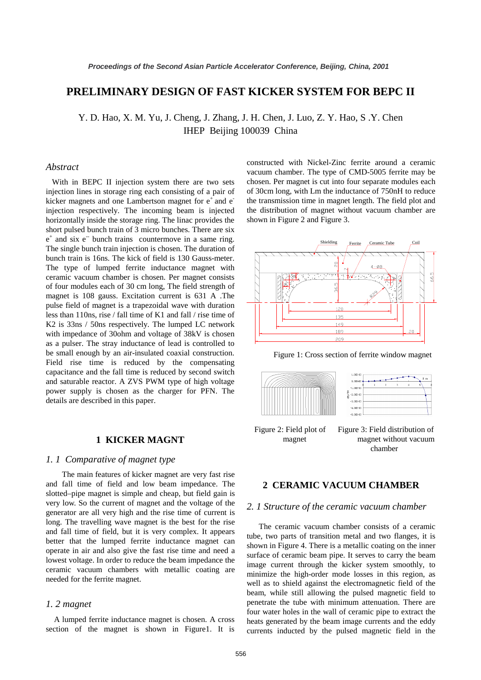# **PRELIMINARY DESIGN OF FAST KICKER SYSTEM FOR BEPC II**

Y. D. Hao, X. M. Yu, J. Cheng, J. Zhang, J. H. Chen, J. Luo, Z. Y. Hao, S .Y. Chen IHEP Beijing 100039 China

### *Abstract*

With in BEPC II injection system there are two sets injection lines in storage ring each consisting of a pair of kicker magnets and one Lambertson magnet for  $e^+$  and  $e^$ injection respectively. The incoming beam is injected horizontally inside the storage ring. The linac provides the short pulsed bunch train of 3 micro bunches. There are six  $e^+$  and six  $e^-$  bunch trains countermove in a same ring. The single bunch train injection is chosen. The duration of bunch train is 16ns. The kick of field is 130 Gauss-meter. The type of lumped ferrite inductance magnet with ceramic vacuum chamber is chosen. Per magnet consists of four modules each of 30 cm long, The field strength of magnet is 108 gauss. Excitation current is 631 A .The pulse field of magnet is a trapezoidal wave with duration less than 110ns, rise / fall time of K1 and fall / rise time of K2 is 33ns / 50ns respectively. The lumped LC network with impedance of 30ohm and voltage of 38kV is chosen as a pulser. The stray inductance of lead is controlled to be small enough by an air-insulated coaxial construction. Field rise time is reduced by the compensating capacitance and the fall time is reduced by second switch and saturable reactor. A ZVS PWM type of high voltage power supply is chosen as the charger for PFN. The details are described in this paper.

# **1 KICKER MAGNT**

#### *1. 1 Comparative of magnet type*

The main features of kicker magnet are very fast rise and fall time of field and low beam impedance. The slotted–pipe magnet is simple and cheap, but field gain is very low. So the current of magnet and the voltage of the generator are all very high and the rise time of current is long. The travelling wave magnet is the best for the rise and fall time of field, but it is very complex. It appears better that the lumped ferrite inductance magnet can operate in air and also give the fast rise time and need a lowest voltage. In order to reduce the beam impedance the ceramic vacuum chambers with metallic coating are needed for the ferrite magnet.

#### *1. 2 magnet*

 A lumped ferrite inductance magnet is chosen. A cross section of the magnet is shown in Figure1. It is

constructed with Nickel-Zinc ferrite around a ceramic vacuum chamber. The type of CMD-5005 ferrite may be chosen. Per magnet is cut into four separate modules each of 30cm long, with Lm the inductance of 750nH to reduce the transmission time in magnet length. The field plot and the distribution of magnet without vacuum chamber are shown in Figure 2 and Figure 3.



Figure 1: Cross section of ferrite window magnet



Figure 2: Field plot of Figure 3: Field distribution of magnet magnet without vacuum chamber

# **2 CERAMIC VACUUM CHAMBER**

#### *2. 1 Structure of the ceramic vacuum chamber*

The ceramic vacuum chamber consists of a ceramic tube, two parts of transition metal and two flanges, it is shown in Figure 4. There is a metallic coating on the inner surface of ceramic beam pipe. It serves to carry the beam image current through the kicker system smoothly, to minimize the high-order mode losses in this region, as well as to shield against the electromagnetic field of the beam, while still allowing the pulsed magnetic field to penetrate the tube with minimum attenuation. There are four water holes in the wall of ceramic pipe to extract the heats generated by the beam image currents and the eddy currents inducted by the pulsed magnetic field in the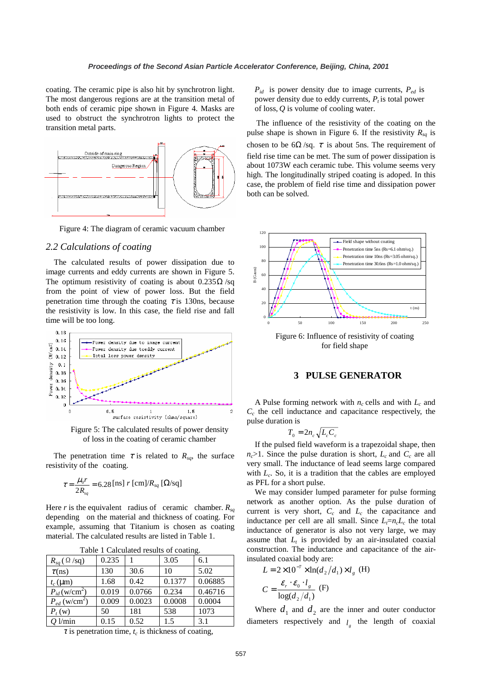coating. The ceramic pipe is also hit by synchrotron light. The most dangerous regions are at the transition metal of both ends of ceramic pipe shown in Figure 4. Masks are used to obstruct the synchrotron lights to protect the transition metal parts.



Figure 4: The diagram of ceramic vacuum chamber

#### *2.2 Calculations of coating*

The calculated results of power dissipation due to image currents and eddy currents are shown in Figure 5. The optimum resistivity of coating is about  $0.235\Omega$ /sq from the point of view of power loss. But the field penetration time through the coating  $\tau$  is 130ns, because the resistivity is low. In this case, the field rise and fall time will be too long.



Figure 5: The calculated results of power density of loss in the coating of ceramic chamber

The penetration time  $\tau$  is related to  $R_{sq}$ , the surface resistivity of the coating.

$$
\tau = \frac{\mu_0 r}{2R_{sq}} = 6.28 \,\text{[ns] } r \,\text{[cm]} / R_{sq} \,\text{[}\Omega\text{/sq\text{]}
$$

Here *r* is the equivalent radius of ceramic chamber.  $R_{sq}$ depending on the material and thickness of coating. For example, assuming that Titanium is chosen as coating material. The calculated results are listed in Table 1.

| raone i canoniarea results of countries. |       |        |        |         |
|------------------------------------------|-------|--------|--------|---------|
| $R_{sa}$ ( $\Omega$ /sq)                 | 0.235 |        | 3.05   | 6.1     |
| $\tau$ (ns)                              | 130   | 30.6   | 10     | 5.02    |
| $t_c$ (µm)                               | 1.68  | 0.42   | 0.1377 | 0.06885 |
| $P_{id}$ (w/cm <sup>2</sup> )            | 0.019 | 0.0766 | 0.234  | 0.46716 |
| $P_{ed}$ (w/cm <sup>2</sup> )            | 0.009 | 0.0023 | 0.0008 | 0.0004  |
| $P_t(w)$                                 | 50    | 181    | 538    | 1073    |
| $Q$ l/min                                | 0.15  | 0.52   | 1.5    | 3.1     |

Table 1 Calculated results of coating.

 $\tau$  is penetration time,  $t_c$  is thickness of coating,

*Pid* is power density due to image currents, *Ped* is power density due to eddy currents,  $P_t$  is total power of loss, *Q* is volume of cooling water.

The influence of the resistivity of the coating on the pulse shape is shown in Figure 6. If the resistivity  $R_{sq}$  is chosen to be  $6\Omega$ /sq.  $\tau$  is about 5ns. The requirement of field rise time can be met. The sum of power dissipation is about 1073W each ceramic tube. This volume seems very high. The longitudinally striped coating is adoped. In this case, the problem of field rise time and dissipation power both can be solved.



Figure 6: Influence of resistivity of coating for field shape

#### **3 PULSE GENERATOR**

A Pulse forming network with  $n_c$  cells and with  $L_c$  and  $C_c$  the cell inductance and capacitance respectively, the pulse duration is

$$
T_0 = 2n_c\sqrt{L_cC_c}
$$

If the pulsed field waveform is a trapezoidal shape, then  $n_c$ >1. Since the pulse duration is short,  $L_c$  and  $C_c$  are all very small. The inductance of lead seems large compared with  $L_c$ . So, it is a tradition that the cables are employed as PFL for a short pulse.

We may consider lumped parameter for pulse forming network as another option. As the pulse duration of current is very short,  $C_c$  and  $L_c$  the capacitance and inductance per cell are all small. Since  $L_f=n_cL_c$  the total inductance of generator is also not very large, we may assume that  $L_t$  is provided by an air-insulated coaxial construction. The inductance and capacitance of the airinsulated coaxial body are:

$$
L = 2 \times 10^{-7} \times \ln(d_2/d_1) \times l_g \text{ (H)}
$$

$$
C = \frac{\varepsilon_r \cdot \varepsilon_0 \cdot l_g}{\log(d_2/d_1)} \text{ (F)}
$$

Where  $d_1$  and  $d_2$  are the inner and outer conductor diameters respectively and  $l<sub>s</sub>$  the length of coaxial